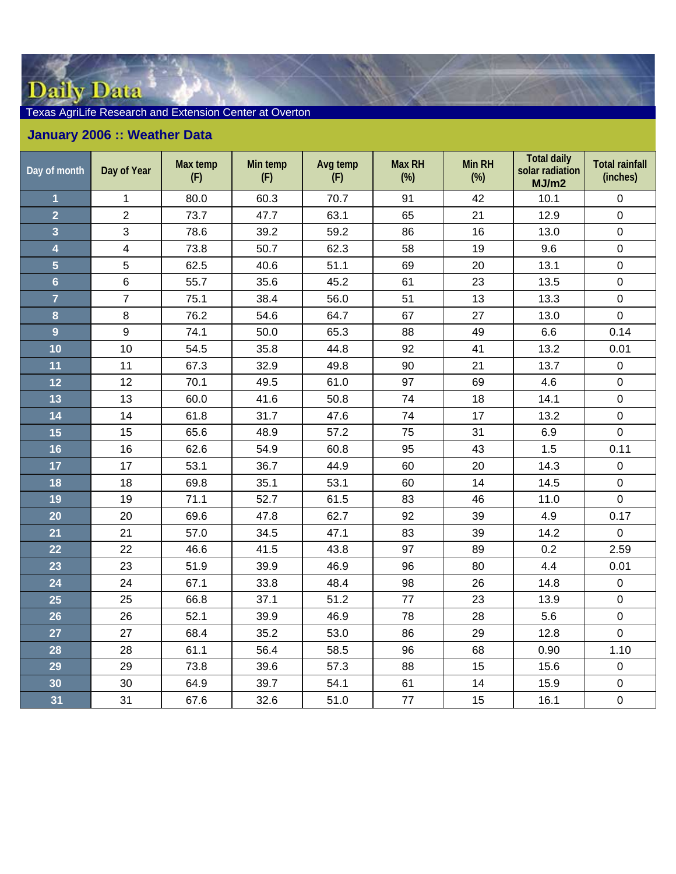## Daily Data

## Texas AgriLife Research and Extension Center at Overton

## **January 2006 :: Weather Data**

| Day of month            | Day of Year    | Max temp<br>(F) | Min temp<br>(F) | Avg temp<br>(F) | <b>Max RH</b><br>$(\%)$ | Min RH<br>$(\%)$ | <b>Total daily</b><br>solar radiation<br>MJ/m2 | <b>Total rainfall</b><br>(inches) |
|-------------------------|----------------|-----------------|-----------------|-----------------|-------------------------|------------------|------------------------------------------------|-----------------------------------|
| $\overline{\mathbf{1}}$ | $\mathbf 1$    | 80.0            | 60.3            | 70.7            | 91                      | 42               | 10.1                                           | $\mathbf 0$                       |
| $\overline{2}$          | $\overline{2}$ | 73.7            | 47.7            | 63.1            | 65                      | 21               | 12.9                                           | $\mathbf 0$                       |
| 3                       | 3              | 78.6            | 39.2            | 59.2            | 86                      | 16               | 13.0                                           | $\pmb{0}$                         |
| 4                       | $\overline{4}$ | 73.8            | 50.7            | 62.3            | 58                      | 19               | 9.6                                            | $\boldsymbol{0}$                  |
| $\overline{5}$          | 5              | 62.5            | 40.6            | 51.1            | 69                      | 20               | 13.1                                           | $\mathbf 0$                       |
| $6\overline{6}$         | 6              | 55.7            | 35.6            | 45.2            | 61                      | 23               | 13.5                                           | $\mathbf 0$                       |
| $\overline{7}$          | $\overline{7}$ | 75.1            | 38.4            | 56.0            | 51                      | 13               | 13.3                                           | $\mathbf 0$                       |
| 8                       | 8              | 76.2            | 54.6            | 64.7            | 67                      | 27               | 13.0                                           | $\mathbf 0$                       |
| 9                       | 9              | 74.1            | 50.0            | 65.3            | 88                      | 49               | 6.6                                            | 0.14                              |
| 10                      | 10             | 54.5            | 35.8            | 44.8            | 92                      | 41               | 13.2                                           | 0.01                              |
| 11                      | 11             | 67.3            | 32.9            | 49.8            | 90                      | 21               | 13.7                                           | $\mathbf 0$                       |
| $12$                    | 12             | 70.1            | 49.5            | 61.0            | 97                      | 69               | 4.6                                            | $\pmb{0}$                         |
| 13                      | 13             | 60.0            | 41.6            | 50.8            | 74                      | 18               | 14.1                                           | $\mathbf 0$                       |
| 14                      | 14             | 61.8            | 31.7            | 47.6            | 74                      | 17               | 13.2                                           | $\pmb{0}$                         |
| 15                      | 15             | 65.6            | 48.9            | 57.2            | 75                      | 31               | 6.9                                            | $\pmb{0}$                         |
| 16                      | 16             | 62.6            | 54.9            | 60.8            | 95                      | 43               | 1.5                                            | 0.11                              |
| 17                      | 17             | 53.1            | 36.7            | 44.9            | 60                      | 20               | 14.3                                           | $\mathsf{O}\xspace$               |
| 18                      | 18             | 69.8            | 35.1            | 53.1            | 60                      | 14               | 14.5                                           | $\mathbf 0$                       |
| 19                      | 19             | 71.1            | 52.7            | 61.5            | 83                      | 46               | 11.0                                           | $\pmb{0}$                         |
| 20                      | 20             | 69.6            | 47.8            | 62.7            | 92                      | 39               | 4.9                                            | 0.17                              |
| 21                      | 21             | 57.0            | 34.5            | 47.1            | 83                      | 39               | 14.2                                           | $\mathbf 0$                       |
| 22                      | 22             | 46.6            | 41.5            | 43.8            | 97                      | 89               | 0.2                                            | 2.59                              |
| 23                      | 23             | 51.9            | 39.9            | 46.9            | 96                      | 80               | 4.4                                            | 0.01                              |
| 24                      | 24             | 67.1            | 33.8            | 48.4            | 98                      | 26               | 14.8                                           | $\mathsf{O}\xspace$               |
| 25                      | 25             | 66.8            | 37.1            | 51.2            | 77                      | 23               | 13.9                                           | $\mathbf 0$                       |
| 26                      | 26             | 52.1            | 39.9            | 46.9            | 78                      | 28               | 5.6                                            | $\mathbf 0$                       |
| 27                      | 27             | 68.4            | 35.2            | 53.0            | 86                      | 29               | 12.8                                           | $\mathbf 0$                       |
| 28                      | 28             | 61.1            | 56.4            | 58.5            | 96                      | 68               | 0.90                                           | 1.10                              |
| 29                      | 29             | 73.8            | 39.6            | 57.3            | 88                      | 15               | 15.6                                           | $\boldsymbol{0}$                  |
| 30                      | 30             | 64.9            | 39.7            | 54.1            | 61                      | 14               | 15.9                                           | $\mathsf{O}\xspace$               |
| 31                      | 31             | 67.6            | 32.6            | 51.0            | 77                      | 15               | 16.1                                           | $\mathbf 0$                       |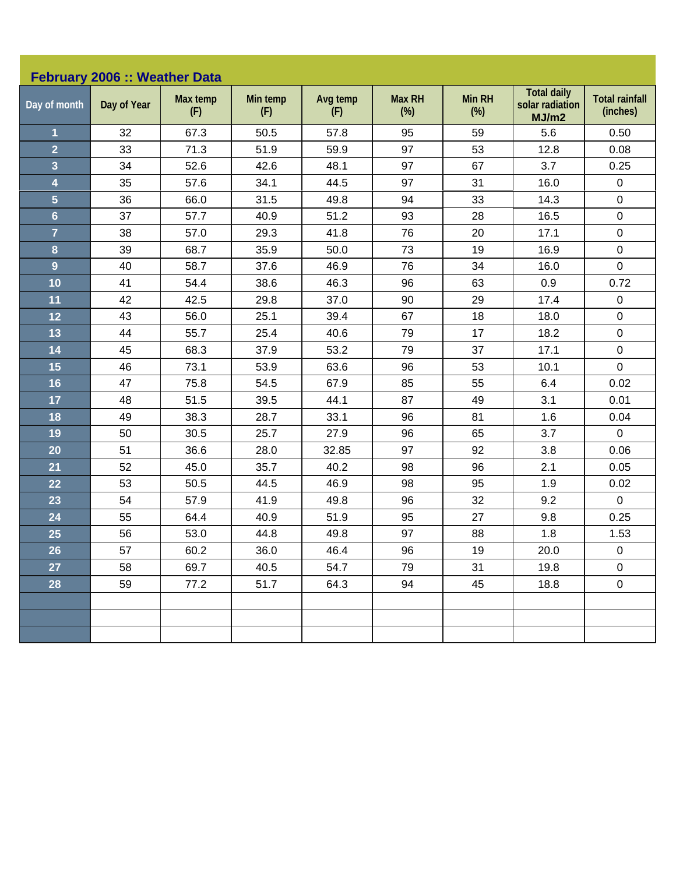| February 2006 :: Weather Data |             |                 |                 |                 |                         |                         |                                                |                                   |  |
|-------------------------------|-------------|-----------------|-----------------|-----------------|-------------------------|-------------------------|------------------------------------------------|-----------------------------------|--|
| Day of month                  | Day of Year | Max temp<br>(F) | Min temp<br>(F) | Avg temp<br>(F) | <b>Max RH</b><br>$(\%)$ | <b>Min RH</b><br>$(\%)$ | <b>Total daily</b><br>solar radiation<br>MJ/m2 | <b>Total rainfall</b><br>(inches) |  |
| $\mathbf 1$                   | 32          | 67.3            | 50.5            | 57.8            | 95                      | 59                      | 5.6                                            | 0.50                              |  |
| $\overline{2}$                | 33          | 71.3            | 51.9            | 59.9            | 97                      | 53                      | 12.8                                           | 0.08                              |  |
| 3                             | 34          | 52.6            | 42.6            | 48.1            | 97                      | 67                      | 3.7                                            | 0.25                              |  |
| 4                             | 35          | 57.6            | 34.1            | 44.5            | 97                      | 31                      | 16.0                                           | $\pmb{0}$                         |  |
| 5                             | 36          | 66.0            | 31.5            | 49.8            | 94                      | 33                      | 14.3                                           | $\pmb{0}$                         |  |
| $6\phantom{a}$                | 37          | 57.7            | 40.9            | 51.2            | 93                      | 28                      | 16.5                                           | $\pmb{0}$                         |  |
| $\overline{7}$                | 38          | 57.0            | 29.3            | 41.8            | 76                      | 20                      | 17.1                                           | $\pmb{0}$                         |  |
| $\bf{8}$                      | 39          | 68.7            | 35.9            | 50.0            | 73                      | 19                      | 16.9                                           | $\pmb{0}$                         |  |
| 9                             | 40          | 58.7            | 37.6            | 46.9            | 76                      | 34                      | 16.0                                           | $\pmb{0}$                         |  |
| 10                            | 41          | 54.4            | 38.6            | 46.3            | 96                      | 63                      | 0.9                                            | 0.72                              |  |
| 11                            | 42          | 42.5            | 29.8            | 37.0            | 90                      | 29                      | 17.4                                           | $\pmb{0}$                         |  |
| 12                            | 43          | 56.0            | 25.1            | 39.4            | 67                      | 18                      | 18.0                                           | $\pmb{0}$                         |  |
| 13                            | 44          | 55.7            | 25.4            | 40.6            | 79                      | 17                      | 18.2                                           | $\pmb{0}$                         |  |
| 14                            | 45          | 68.3            | 37.9            | 53.2            | 79                      | 37                      | 17.1                                           | $\pmb{0}$                         |  |
| 15                            | 46          | 73.1            | 53.9            | 63.6            | 96                      | 53                      | 10.1                                           | $\pmb{0}$                         |  |
| 16                            | 47          | 75.8            | 54.5            | 67.9            | 85                      | 55                      | 6.4                                            | 0.02                              |  |
| 17                            | 48          | 51.5            | 39.5            | 44.1            | 87                      | 49                      | 3.1                                            | 0.01                              |  |
| 18                            | 49          | 38.3            | 28.7            | 33.1            | 96                      | 81                      | 1.6                                            | 0.04                              |  |
| 19                            | 50          | 30.5            | 25.7            | 27.9            | 96                      | 65                      | 3.7                                            | $\pmb{0}$                         |  |
| 20                            | 51          | 36.6            | 28.0            | 32.85           | 97                      | 92                      | 3.8                                            | 0.06                              |  |
| 21                            | 52          | 45.0            | 35.7            | 40.2            | 98                      | 96                      | 2.1                                            | 0.05                              |  |
| 22                            | 53          | 50.5            | 44.5            | 46.9            | 98                      | 95                      | 1.9                                            | 0.02                              |  |
| 23                            | 54          | 57.9            | 41.9            | 49.8            | 96                      | 32                      | 9.2                                            | $\mathbf 0$                       |  |
| 24                            | 55          | 64.4            | 40.9            | 51.9            | 95                      | 27                      | 9.8                                            | 0.25                              |  |
| 25                            | 56          | 53.0            | 44.8            | 49.8            | 97                      | 88                      | 1.8                                            | 1.53                              |  |
| 26                            | 57          | 60.2            | 36.0            | 46.4            | 96                      | 19                      | 20.0                                           | $\pmb{0}$                         |  |
| 27                            | 58          | 69.7            | 40.5            | 54.7            | 79                      | 31                      | 19.8                                           | $\pmb{0}$                         |  |
| 28                            | 59          | 77.2            | 51.7            | 64.3            | 94                      | 45                      | 18.8                                           | $\pmb{0}$                         |  |
|                               |             |                 |                 |                 |                         |                         |                                                |                                   |  |
|                               |             |                 |                 |                 |                         |                         |                                                |                                   |  |
|                               |             |                 |                 |                 |                         |                         |                                                |                                   |  |
|                               |             |                 |                 |                 |                         |                         |                                                |                                   |  |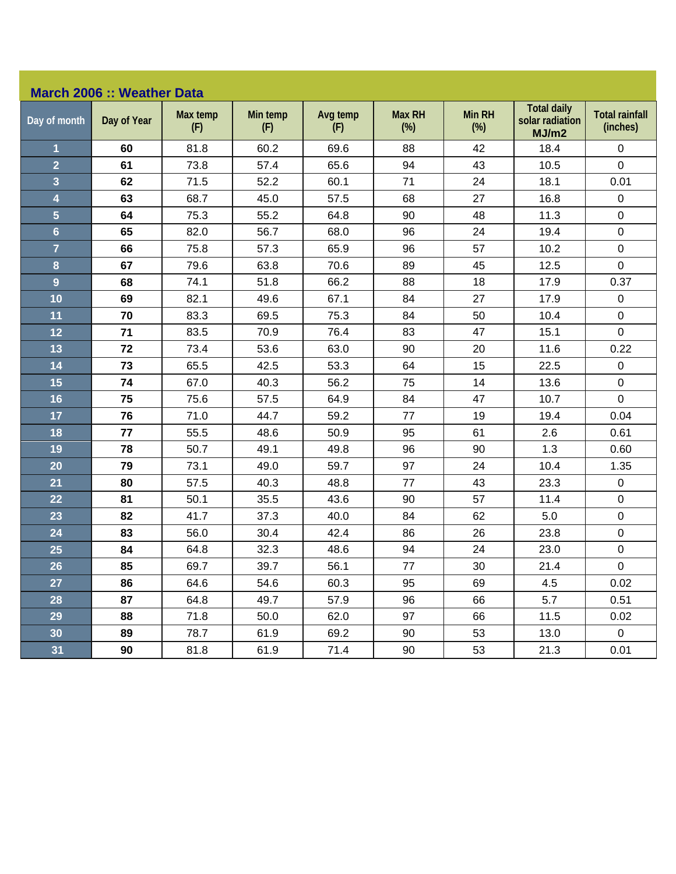## **March 2006 :: Weather Data**

| Day of month            | Day of Year | Max temp<br>(F) | Min temp<br>(F) | Avg temp<br>(F) | <b>Max RH</b><br>$(\%)$ | Min RH<br>$(\%)$ | <b>Total daily</b><br>solar radiation<br>MJ/m2 | <b>Total rainfall</b><br>(inches) |
|-------------------------|-------------|-----------------|-----------------|-----------------|-------------------------|------------------|------------------------------------------------|-----------------------------------|
| $\overline{\mathbf{1}}$ | 60          | 81.8            | 60.2            | 69.6            | 88                      | 42               | 18.4                                           | 0                                 |
| $\overline{2}$          | 61          | 73.8            | 57.4            | 65.6            | 94                      | 43               | 10.5                                           | $\pmb{0}$                         |
| $\overline{\mathbf{3}}$ | 62          | 71.5            | 52.2            | 60.1            | 71                      | 24               | 18.1                                           | 0.01                              |
| $\overline{\mathbf{4}}$ | 63          | 68.7            | 45.0            | 57.5            | 68                      | 27               | 16.8                                           | $\pmb{0}$                         |
| $\overline{\mathbf{5}}$ | 64          | 75.3            | 55.2            | 64.8            | 90                      | 48               | 11.3                                           | $\mathbf 0$                       |
| $6\phantom{a}$          | 65          | 82.0            | 56.7            | 68.0            | 96                      | 24               | 19.4                                           | $\mathbf 0$                       |
| $\overline{7}$          | 66          | 75.8            | 57.3            | 65.9            | 96                      | 57               | 10.2                                           | $\pmb{0}$                         |
| 8                       | 67          | 79.6            | 63.8            | 70.6            | 89                      | 45               | 12.5                                           | $\mathsf{O}\xspace$               |
| $\overline{9}$          | 68          | 74.1            | 51.8            | 66.2            | 88                      | 18               | 17.9                                           | 0.37                              |
| 10                      | 69          | 82.1            | 49.6            | 67.1            | 84                      | 27               | 17.9                                           | $\pmb{0}$                         |
| 11                      | 70          | 83.3            | 69.5            | 75.3            | 84                      | 50               | 10.4                                           | $\pmb{0}$                         |
| 12                      | 71          | 83.5            | 70.9            | 76.4            | 83                      | 47               | 15.1                                           | $\mathbf 0$                       |
| 13                      | 72          | 73.4            | 53.6            | 63.0            | 90                      | 20               | 11.6                                           | 0.22                              |
| 14                      | 73          | 65.5            | 42.5            | 53.3            | 64                      | 15               | 22.5                                           | $\pmb{0}$                         |
| 15                      | 74          | 67.0            | 40.3            | 56.2            | 75                      | 14               | 13.6                                           | $\pmb{0}$                         |
| 16                      | 75          | 75.6            | 57.5            | 64.9            | 84                      | 47               | 10.7                                           | $\mathbf 0$                       |
| 17                      | 76          | 71.0            | 44.7            | 59.2            | 77                      | 19               | 19.4                                           | 0.04                              |
| 18                      | 77          | 55.5            | 48.6            | 50.9            | 95                      | 61               | 2.6                                            | 0.61                              |
| 19                      | 78          | 50.7            | 49.1            | 49.8            | 96                      | 90               | 1.3                                            | 0.60                              |
| 20                      | 79          | 73.1            | 49.0            | 59.7            | 97                      | 24               | 10.4                                           | 1.35                              |
| 21                      | 80          | 57.5            | 40.3            | 48.8            | 77                      | 43               | 23.3                                           | $\pmb{0}$                         |
| 22                      | 81          | 50.1            | 35.5            | 43.6            | 90                      | 57               | 11.4                                           | $\pmb{0}$                         |
| 23                      | 82          | 41.7            | 37.3            | 40.0            | 84                      | 62               | 5.0                                            | $\mathbf 0$                       |
| 24                      | 83          | 56.0            | 30.4            | 42.4            | 86                      | 26               | 23.8                                           | $\pmb{0}$                         |
| 25                      | 84          | 64.8            | 32.3            | 48.6            | 94                      | 24               | 23.0                                           | $\mathbf 0$                       |
| 26                      | 85          | 69.7            | 39.7            | 56.1            | 77                      | 30               | 21.4                                           | $\pmb{0}$                         |
| 27                      | 86          | 64.6            | 54.6            | 60.3            | 95                      | 69               | 4.5                                            | 0.02                              |
| 28                      | 87          | 64.8            | 49.7            | 57.9            | 96                      | 66               | 5.7                                            | 0.51                              |
| 29                      | 88          | 71.8            | 50.0            | 62.0            | 97                      | 66               | 11.5                                           | 0.02                              |
| 30                      | 89          | 78.7            | 61.9            | 69.2            | 90                      | 53               | 13.0                                           | $\pmb{0}$                         |
| 31                      | 90          | 81.8            | 61.9            | 71.4            | 90                      | 53               | 21.3                                           | 0.01                              |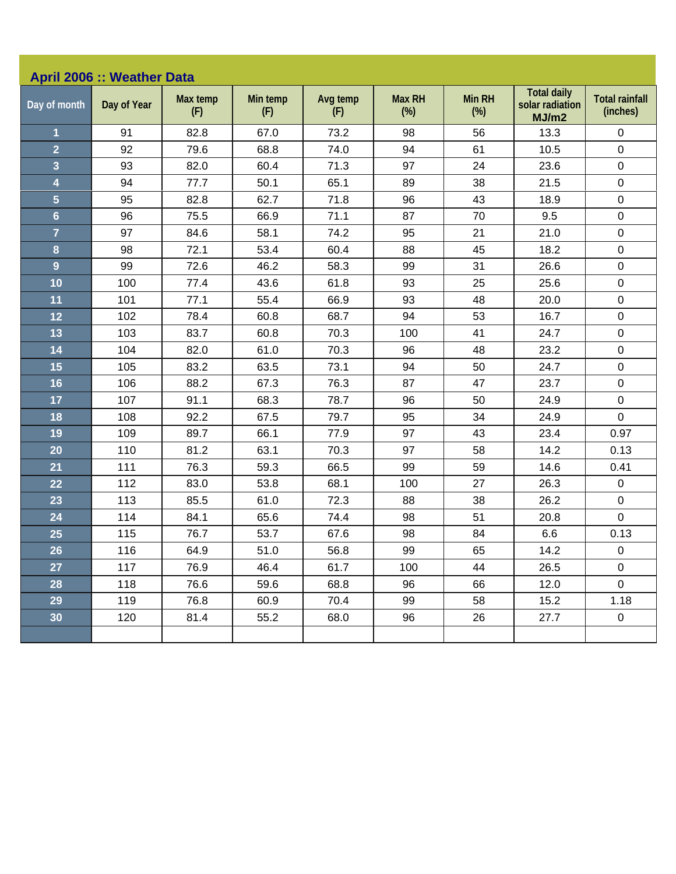| <b>April 2006 :: Weather Data</b> |             |                 |                 |                 |                         |                         |                                                |                                   |  |
|-----------------------------------|-------------|-----------------|-----------------|-----------------|-------------------------|-------------------------|------------------------------------------------|-----------------------------------|--|
| Day of month                      | Day of Year | Max temp<br>(F) | Min temp<br>(F) | Avg temp<br>(F) | <b>Max RH</b><br>$(\%)$ | <b>Min RH</b><br>$(\%)$ | <b>Total daily</b><br>solar radiation<br>MJ/m2 | <b>Total rainfall</b><br>(inches) |  |
| 1                                 | 91          | 82.8            | 67.0            | 73.2            | 98                      | 56                      | 13.3                                           | 0                                 |  |
| $\overline{2}$                    | 92          | 79.6            | 68.8            | 74.0            | 94                      | 61                      | 10.5                                           | $\mathbf 0$                       |  |
| $\overline{\mathbf{3}}$           | 93          | 82.0            | 60.4            | 71.3            | 97                      | 24                      | 23.6                                           | $\pmb{0}$                         |  |
| 4                                 | 94          | 77.7            | 50.1            | 65.1            | 89                      | 38                      | 21.5                                           | $\pmb{0}$                         |  |
| 5                                 | 95          | 82.8            | 62.7            | 71.8            | 96                      | 43                      | 18.9                                           | $\pmb{0}$                         |  |
| $6\phantom{a}$                    | 96          | 75.5            | 66.9            | 71.1            | 87                      | 70                      | 9.5                                            | $\pmb{0}$                         |  |
| $\overline{7}$                    | 97          | 84.6            | 58.1            | 74.2            | 95                      | 21                      | 21.0                                           | $\pmb{0}$                         |  |
| 8                                 | 98          | 72.1            | 53.4            | 60.4            | 88                      | 45                      | 18.2                                           | $\pmb{0}$                         |  |
| 9                                 | 99          | 72.6            | 46.2            | 58.3            | 99                      | 31                      | 26.6                                           | $\mathsf 0$                       |  |
| 10                                | 100         | 77.4            | 43.6            | 61.8            | 93                      | 25                      | 25.6                                           | $\pmb{0}$                         |  |
| 11                                | 101         | 77.1            | 55.4            | 66.9            | 93                      | 48                      | 20.0                                           | $\pmb{0}$                         |  |
| 12                                | 102         | 78.4            | 60.8            | 68.7            | 94                      | 53                      | 16.7                                           | $\pmb{0}$                         |  |
| 13                                | 103         | 83.7            | 60.8            | 70.3            | 100                     | 41                      | 24.7                                           | $\pmb{0}$                         |  |
| 14                                | 104         | 82.0            | 61.0            | 70.3            | 96                      | 48                      | 23.2                                           | $\pmb{0}$                         |  |
| 15                                | 105         | 83.2            | 63.5            | 73.1            | 94                      | 50                      | 24.7                                           | $\pmb{0}$                         |  |
| 16                                | 106         | 88.2            | 67.3            | 76.3            | 87                      | 47                      | 23.7                                           | $\pmb{0}$                         |  |
| 17                                | 107         | 91.1            | 68.3            | 78.7            | 96                      | 50                      | 24.9                                           | $\pmb{0}$                         |  |
| 18                                | 108         | 92.2            | 67.5            | 79.7            | 95                      | 34                      | 24.9                                           | $\mathbf 0$                       |  |
| 19                                | 109         | 89.7            | 66.1            | 77.9            | 97                      | 43                      | 23.4                                           | 0.97                              |  |
| 20                                | 110         | 81.2            | 63.1            | 70.3            | 97                      | 58                      | 14.2                                           | 0.13                              |  |
| 21                                | 111         | 76.3            | 59.3            | 66.5            | 99                      | 59                      | 14.6                                           | 0.41                              |  |
| 22                                | 112         | 83.0            | 53.8            | 68.1            | 100                     | 27                      | 26.3                                           | $\pmb{0}$                         |  |
| 23                                | 113         | 85.5            | 61.0            | 72.3            | 88                      | 38                      | 26.2                                           | $\pmb{0}$                         |  |
| 24                                | 114         | 84.1            | 65.6            | 74.4            | 98                      | 51                      | 20.8                                           | $\pmb{0}$                         |  |
| 25                                | 115         | 76.7            | 53.7            | 67.6            | 98                      | 84                      | 6.6                                            | 0.13                              |  |
| 26                                | 116         | 64.9            | 51.0            | 56.8            | 99                      | 65                      | 14.2                                           | 0                                 |  |
| 27                                | 117         | 76.9            | 46.4            | 61.7            | 100                     | 44                      | 26.5                                           | $\mathbf 0$                       |  |
| 28                                | 118         | 76.6            | 59.6            | 68.8            | 96                      | 66                      | 12.0                                           | $\mathbf 0$                       |  |
| 29                                | 119         | 76.8            | 60.9            | 70.4            | 99                      | 58                      | 15.2                                           | 1.18                              |  |
| 30                                | 120         | 81.4            | 55.2            | 68.0            | 96                      | 26                      | 27.7                                           | $\mathbf 0$                       |  |
|                                   |             |                 |                 |                 |                         |                         |                                                |                                   |  |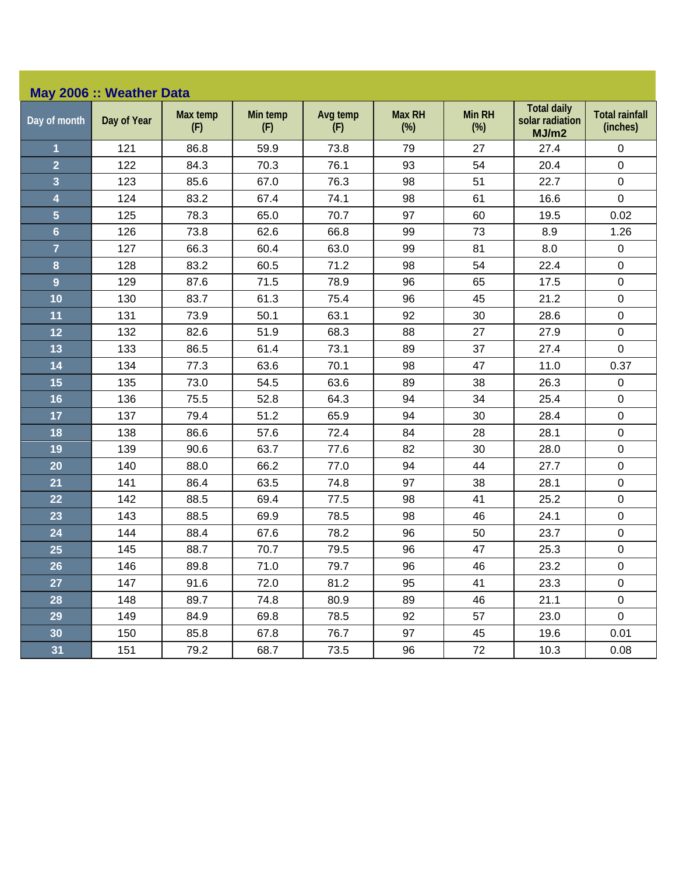|                | May 2006 :: Weather Data |                 |                 |                 |                         |                      |                                                |                                   |  |  |
|----------------|--------------------------|-----------------|-----------------|-----------------|-------------------------|----------------------|------------------------------------------------|-----------------------------------|--|--|
| Day of month   | Day of Year              | Max temp<br>(F) | Min temp<br>(F) | Avg temp<br>(F) | <b>Max RH</b><br>$(\%)$ | <b>Min RH</b><br>(%) | <b>Total daily</b><br>solar radiation<br>MJ/m2 | <b>Total rainfall</b><br>(inches) |  |  |
| 1              | 121                      | 86.8            | 59.9            | 73.8            | 79                      | 27                   | 27.4                                           | 0                                 |  |  |
| $\overline{2}$ | 122                      | 84.3            | 70.3            | 76.1            | 93                      | 54                   | 20.4                                           | $\pmb{0}$                         |  |  |
| $\overline{3}$ | 123                      | 85.6            | 67.0            | 76.3            | 98                      | 51                   | 22.7                                           | $\mathbf 0$                       |  |  |
| 4              | 124                      | 83.2            | 67.4            | 74.1            | 98                      | 61                   | 16.6                                           | 0                                 |  |  |
| 5              | 125                      | 78.3            | 65.0            | 70.7            | 97                      | 60                   | 19.5                                           | 0.02                              |  |  |
| $6\phantom{a}$ | 126                      | 73.8            | 62.6            | 66.8            | 99                      | 73                   | 8.9                                            | 1.26                              |  |  |
| $\overline{7}$ | 127                      | 66.3            | 60.4            | 63.0            | 99                      | 81                   | 8.0                                            | 0                                 |  |  |
| 8              | 128                      | 83.2            | 60.5            | 71.2            | 98                      | 54                   | 22.4                                           | 0                                 |  |  |
| $\overline{9}$ | 129                      | 87.6            | 71.5            | 78.9            | 96                      | 65                   | 17.5                                           | $\pmb{0}$                         |  |  |
| 10             | 130                      | 83.7            | 61.3            | 75.4            | 96                      | 45                   | 21.2                                           | 0                                 |  |  |
| 11             | 131                      | 73.9            | 50.1            | 63.1            | 92                      | 30                   | 28.6                                           | 0                                 |  |  |
| 12             | 132                      | 82.6            | 51.9            | 68.3            | 88                      | 27                   | 27.9                                           | $\pmb{0}$                         |  |  |
| 13             | 133                      | 86.5            | 61.4            | 73.1            | 89                      | 37                   | 27.4                                           | 0                                 |  |  |
| 14             | 134                      | 77.3            | 63.6            | 70.1            | 98                      | 47                   | 11.0                                           | 0.37                              |  |  |
| 15             | 135                      | 73.0            | 54.5            | 63.6            | 89                      | 38                   | 26.3                                           | $\pmb{0}$                         |  |  |
| 16             | 136                      | 75.5            | 52.8            | 64.3            | 94                      | 34                   | 25.4                                           | $\mathbf 0$                       |  |  |
| 17             | 137                      | 79.4            | 51.2            | 65.9            | 94                      | 30                   | 28.4                                           | $\pmb{0}$                         |  |  |
| 18             | 138                      | 86.6            | 57.6            | 72.4            | 84                      | 28                   | 28.1                                           | $\pmb{0}$                         |  |  |
| 19             | 139                      | 90.6            | 63.7            | 77.6            | 82                      | 30                   | 28.0                                           | $\pmb{0}$                         |  |  |
| 20             | 140                      | 88.0            | 66.2            | 77.0            | 94                      | 44                   | 27.7                                           | $\mathbf 0$                       |  |  |
| 21             | 141                      | 86.4            | 63.5            | 74.8            | 97                      | 38                   | 28.1                                           | $\pmb{0}$                         |  |  |
| 22             | 142                      | 88.5            | 69.4            | 77.5            | 98                      | 41                   | 25.2                                           | $\mathbf 0$                       |  |  |
| 23             | 143                      | 88.5            | 69.9            | 78.5            | 98                      | 46                   | 24.1                                           | $\mathbf 0$                       |  |  |
| 24             | 144                      | 88.4            | 67.6            | 78.2            | 96                      | 50                   | 23.7                                           | $\mathbf 0$                       |  |  |
| 25             | 145                      | 88.7            | 70.7            | 79.5            | 96                      | 47                   | 25.3                                           | 0                                 |  |  |
| 26             | 146                      | 89.8            | 71.0            | 79.7            | 96                      | 46                   | 23.2                                           | $\pmb{0}$                         |  |  |
| 27             | 147                      | 91.6            | 72.0            | 81.2            | 95                      | 41                   | 23.3                                           | $\mathbf 0$                       |  |  |
| 28             | 148                      | 89.7            | 74.8            | 80.9            | 89                      | 46                   | 21.1                                           | $\pmb{0}$                         |  |  |
| 29             | 149                      | 84.9            | 69.8            | 78.5            | 92                      | 57                   | 23.0                                           | $\mathbf 0$                       |  |  |
| 30             | 150                      | 85.8            | 67.8            | 76.7            | 97                      | 45                   | 19.6                                           | 0.01                              |  |  |
| 31             | 151                      | 79.2            | 68.7            | 73.5            | 96                      | 72                   | 10.3                                           | 0.08                              |  |  |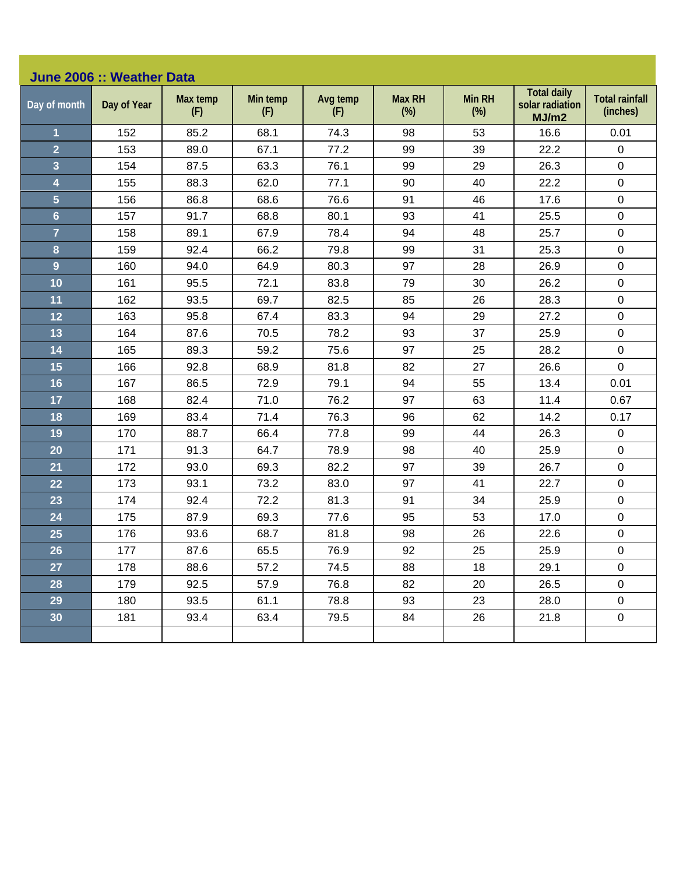| June 2006 :: Weather Data |             |                 |                 |                 |                         |                         |                                                |                                   |  |
|---------------------------|-------------|-----------------|-----------------|-----------------|-------------------------|-------------------------|------------------------------------------------|-----------------------------------|--|
| Day of month              | Day of Year | Max temp<br>(F) | Min temp<br>(F) | Avg temp<br>(F) | <b>Max RH</b><br>$(\%)$ | <b>Min RH</b><br>$(\%)$ | <b>Total daily</b><br>solar radiation<br>MJ/m2 | <b>Total rainfall</b><br>(inches) |  |
| $\overline{\mathbf{1}}$   | 152         | 85.2            | 68.1            | 74.3            | 98                      | 53                      | 16.6                                           | 0.01                              |  |
| $\overline{2}$            | 153         | 89.0            | 67.1            | 77.2            | 99                      | 39                      | 22.2                                           | $\mathbf 0$                       |  |
| 3                         | 154         | 87.5            | 63.3            | 76.1            | 99                      | 29                      | 26.3                                           | $\mathsf 0$                       |  |
| 4                         | 155         | 88.3            | 62.0            | 77.1            | 90                      | 40                      | 22.2                                           | $\mathsf 0$                       |  |
| 5                         | 156         | 86.8            | 68.6            | 76.6            | 91                      | 46                      | 17.6                                           | $\pmb{0}$                         |  |
| $6\phantom{a}$            | 157         | 91.7            | 68.8            | 80.1            | 93                      | 41                      | 25.5                                           | $\mathsf 0$                       |  |
| $\overline{7}$            | 158         | 89.1            | 67.9            | 78.4            | 94                      | 48                      | 25.7                                           | $\pmb{0}$                         |  |
| 8                         | 159         | 92.4            | 66.2            | 79.8            | 99                      | 31                      | 25.3                                           | $\mathsf 0$                       |  |
| 9                         | 160         | 94.0            | 64.9            | 80.3            | 97                      | 28                      | 26.9                                           | $\pmb{0}$                         |  |
| 10                        | 161         | 95.5            | 72.1            | 83.8            | 79                      | 30                      | 26.2                                           | $\mathbf 0$                       |  |
| 11                        | 162         | 93.5            | 69.7            | 82.5            | 85                      | 26                      | 28.3                                           | $\pmb{0}$                         |  |
| 12                        | 163         | 95.8            | 67.4            | 83.3            | 94                      | 29                      | 27.2                                           | 0                                 |  |
| 13                        | 164         | 87.6            | 70.5            | 78.2            | 93                      | 37                      | 25.9                                           | $\pmb{0}$                         |  |
| 14                        | 165         | 89.3            | 59.2            | 75.6            | 97                      | 25                      | 28.2                                           | 0                                 |  |
| 15                        | 166         | 92.8            | 68.9            | 81.8            | 82                      | 27                      | 26.6                                           | $\mathbf 0$                       |  |
| 16                        | 167         | 86.5            | 72.9            | 79.1            | 94                      | 55                      | 13.4                                           | 0.01                              |  |
| 17                        | 168         | 82.4            | 71.0            | 76.2            | 97                      | 63                      | 11.4                                           | 0.67                              |  |
| 18                        | 169         | 83.4            | 71.4            | 76.3            | 96                      | 62                      | 14.2                                           | 0.17                              |  |
| 19                        | 170         | 88.7            | 66.4            | 77.8            | 99                      | 44                      | 26.3                                           | $\pmb{0}$                         |  |
| 20                        | 171         | 91.3            | 64.7            | 78.9            | 98                      | 40                      | 25.9                                           | $\mathsf 0$                       |  |
| 21                        | 172         | 93.0            | 69.3            | 82.2            | 97                      | 39                      | 26.7                                           | $\mathbf 0$                       |  |
| 22                        | 173         | 93.1            | 73.2            | 83.0            | 97                      | 41                      | 22.7                                           | $\mathsf 0$                       |  |
| 23                        | 174         | 92.4            | 72.2            | 81.3            | 91                      | 34                      | 25.9                                           | $\mathsf 0$                       |  |
| 24                        | 175         | 87.9            | 69.3            | 77.6            | 95                      | 53                      | 17.0                                           | $\pmb{0}$                         |  |
| 25                        | 176         | 93.6            | 68.7            | 81.8            | 98                      | 26                      | 22.6                                           | $\pmb{0}$                         |  |
| 26                        | 177         | 87.6            | 65.5            | 76.9            | 92                      | 25                      | 25.9                                           | $\pmb{0}$                         |  |
| 27                        | 178         | 88.6            | 57.2            | 74.5            | 88                      | 18                      | 29.1                                           | 0                                 |  |
| 28                        | 179         | 92.5            | 57.9            | 76.8            | 82                      | 20                      | 26.5                                           | $\mathbf 0$                       |  |
| 29                        | 180         | 93.5            | 61.1            | 78.8            | 93                      | 23                      | 28.0                                           | $\mathbf 0$                       |  |
| 30 <sub>o</sub>           | 181         | 93.4            | 63.4            | 79.5            | 84                      | 26                      | 21.8                                           | $\pmb{0}$                         |  |
|                           |             |                 |                 |                 |                         |                         |                                                |                                   |  |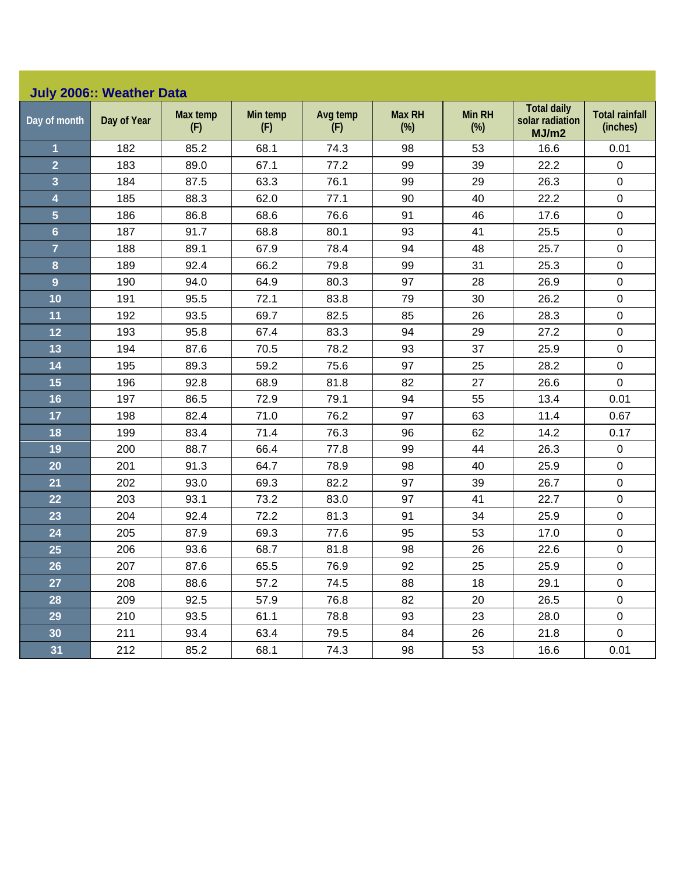| July 2006:: Weather Data |  |  |
|--------------------------|--|--|

| Day of month            | Day of Year | Max temp<br>(F) | Min temp<br>(F) | Avg temp<br>(F) | <b>Max RH</b><br>$(\%)$ | Min RH<br>(%) | <b>Total daily</b><br>solar radiation<br>MJ/m2 | <b>Total rainfall</b><br>(inches) |
|-------------------------|-------------|-----------------|-----------------|-----------------|-------------------------|---------------|------------------------------------------------|-----------------------------------|
| $\overline{\mathbf{1}}$ | 182         | 85.2            | 68.1            | 74.3            | 98                      | 53            | 16.6                                           | 0.01                              |
| $\overline{2}$          | 183         | 89.0            | 67.1            | 77.2            | 99                      | 39            | 22.2                                           | $\mathbf 0$                       |
| $\overline{\mathbf{3}}$ | 184         | 87.5            | 63.3            | 76.1            | 99                      | 29            | 26.3                                           | $\pmb{0}$                         |
| 4                       | 185         | 88.3            | 62.0            | 77.1            | 90                      | 40            | 22.2                                           | $\mathbf 0$                       |
| 5                       | 186         | 86.8            | 68.6            | 76.6            | 91                      | 46            | 17.6                                           | $\pmb{0}$                         |
| $6\phantom{a}$          | 187         | 91.7            | 68.8            | 80.1            | 93                      | 41            | 25.5                                           | $\pmb{0}$                         |
| $\overline{7}$          | 188         | 89.1            | 67.9            | 78.4            | 94                      | 48            | 25.7                                           | $\pmb{0}$                         |
| 8                       | 189         | 92.4            | 66.2            | 79.8            | 99                      | 31            | 25.3                                           | $\boldsymbol{0}$                  |
| 9                       | 190         | 94.0            | 64.9            | 80.3            | 97                      | 28            | 26.9                                           | $\mathbf 0$                       |
| 10                      | 191         | 95.5            | 72.1            | 83.8            | 79                      | 30            | 26.2                                           | $\pmb{0}$                         |
| 11                      | 192         | 93.5            | 69.7            | 82.5            | 85                      | 26            | 28.3                                           | $\pmb{0}$                         |
| 12                      | 193         | 95.8            | 67.4            | 83.3            | 94                      | 29            | 27.2                                           | $\pmb{0}$                         |
| 13                      | 194         | 87.6            | 70.5            | 78.2            | 93                      | 37            | 25.9                                           | $\mathbf 0$                       |
| 14                      | 195         | 89.3            | 59.2            | 75.6            | 97                      | 25            | 28.2                                           | $\pmb{0}$                         |
| 15                      | 196         | 92.8            | 68.9            | 81.8            | 82                      | 27            | 26.6                                           | $\mathbf 0$                       |
| 16                      | 197         | 86.5            | 72.9            | 79.1            | 94                      | 55            | 13.4                                           | 0.01                              |
| 17                      | 198         | 82.4            | 71.0            | 76.2            | 97                      | 63            | 11.4                                           | 0.67                              |
| 18                      | 199         | 83.4            | 71.4            | 76.3            | 96                      | 62            | 14.2                                           | 0.17                              |
| 19                      | 200         | 88.7            | 66.4            | 77.8            | 99                      | 44            | 26.3                                           | $\pmb{0}$                         |
| 20                      | 201         | 91.3            | 64.7            | 78.9            | 98                      | 40            | 25.9                                           | $\mathbf 0$                       |
| 21                      | 202         | 93.0            | 69.3            | 82.2            | 97                      | 39            | 26.7                                           | $\boldsymbol{0}$                  |
| 22                      | 203         | 93.1            | 73.2            | 83.0            | 97                      | 41            | 22.7                                           | $\mathbf 0$                       |
| 23                      | 204         | 92.4            | 72.2            | 81.3            | 91                      | 34            | 25.9                                           | $\boldsymbol{0}$                  |
| 24                      | 205         | 87.9            | 69.3            | 77.6            | 95                      | 53            | 17.0                                           | $\mathbf 0$                       |
| 25                      | 206         | 93.6            | 68.7            | 81.8            | 98                      | 26            | 22.6                                           | $\mathbf 0$                       |
| 26                      | 207         | 87.6            | 65.5            | 76.9            | 92                      | 25            | 25.9                                           | $\pmb{0}$                         |
| 27                      | 208         | 88.6            | 57.2            | 74.5            | 88                      | 18            | 29.1                                           | $\mathbf 0$                       |
| 28                      | 209         | 92.5            | 57.9            | 76.8            | 82                      | 20            | 26.5                                           | $\mathbf 0$                       |
| 29                      | 210         | 93.5            | 61.1            | 78.8            | 93                      | 23            | 28.0                                           | $\mathbf 0$                       |
| 30                      | 211         | 93.4            | 63.4            | 79.5            | 84                      | 26            | 21.8                                           | $\pmb{0}$                         |
| 31                      | 212         | 85.2            | 68.1            | 74.3            | 98                      | 53            | 16.6                                           | 0.01                              |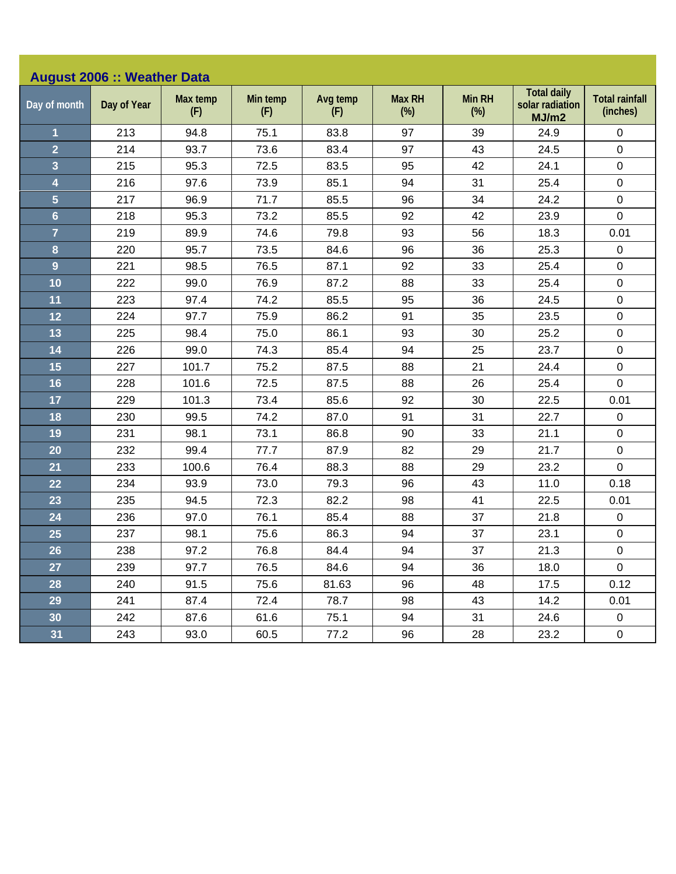| <b>August 2006 :: Weather Data</b> |             |                 |                 |                 |                         |                         |                                                |                                   |  |
|------------------------------------|-------------|-----------------|-----------------|-----------------|-------------------------|-------------------------|------------------------------------------------|-----------------------------------|--|
| Day of month                       | Day of Year | Max temp<br>(F) | Min temp<br>(F) | Avg temp<br>(F) | <b>Max RH</b><br>$(\%)$ | <b>Min RH</b><br>$(\%)$ | <b>Total daily</b><br>solar radiation<br>MJ/m2 | <b>Total rainfall</b><br>(inches) |  |
| $\mathbf{1}$                       | 213         | 94.8            | 75.1            | 83.8            | 97                      | 39                      | 24.9                                           | $\pmb{0}$                         |  |
| $\overline{2}$                     | 214         | 93.7            | 73.6            | 83.4            | 97                      | 43                      | 24.5                                           | $\pmb{0}$                         |  |
| 3                                  | 215         | 95.3            | 72.5            | 83.5            | 95                      | 42                      | 24.1                                           | $\pmb{0}$                         |  |
| $\overline{\mathbf{4}}$            | 216         | 97.6            | 73.9            | 85.1            | 94                      | 31                      | 25.4                                           | $\pmb{0}$                         |  |
| $\overline{5}$                     | 217         | 96.9            | 71.7            | 85.5            | 96                      | 34                      | 24.2                                           | $\pmb{0}$                         |  |
| $6\phantom{a}$                     | 218         | 95.3            | 73.2            | 85.5            | 92                      | 42                      | 23.9                                           | $\mathbf 0$                       |  |
| $\overline{7}$                     | 219         | 89.9            | 74.6            | 79.8            | 93                      | 56                      | 18.3                                           | 0.01                              |  |
| 8                                  | 220         | 95.7            | 73.5            | 84.6            | 96                      | 36                      | 25.3                                           | $\pmb{0}$                         |  |
| $\overline{9}$                     | 221         | 98.5            | 76.5            | 87.1            | 92                      | 33                      | 25.4                                           | $\pmb{0}$                         |  |
| 10                                 | 222         | 99.0            | 76.9            | 87.2            | 88                      | 33                      | 25.4                                           | $\pmb{0}$                         |  |
| 11                                 | 223         | 97.4            | 74.2            | 85.5            | 95                      | 36                      | 24.5                                           | $\pmb{0}$                         |  |
| 12                                 | 224         | 97.7            | 75.9            | 86.2            | 91                      | 35                      | 23.5                                           | $\pmb{0}$                         |  |
| 13                                 | 225         | 98.4            | 75.0            | 86.1            | 93                      | 30                      | 25.2                                           | $\pmb{0}$                         |  |
| 14                                 | 226         | 99.0            | 74.3            | 85.4            | 94                      | 25                      | 23.7                                           | $\pmb{0}$                         |  |
| 15                                 | 227         | 101.7           | 75.2            | 87.5            | 88                      | 21                      | 24.4                                           | $\pmb{0}$                         |  |
| 16                                 | 228         | 101.6           | 72.5            | 87.5            | 88                      | 26                      | 25.4                                           | $\mathbf 0$                       |  |
| 17                                 | 229         | 101.3           | 73.4            | 85.6            | 92                      | 30                      | 22.5                                           | 0.01                              |  |
| 18                                 | 230         | 99.5            | 74.2            | 87.0            | 91                      | 31                      | 22.7                                           | $\pmb{0}$                         |  |
| 19                                 | 231         | 98.1            | 73.1            | 86.8            | 90                      | 33                      | 21.1                                           | $\pmb{0}$                         |  |
| 20                                 | 232         | 99.4            | 77.7            | 87.9            | 82                      | 29                      | 21.7                                           | $\pmb{0}$                         |  |
| 21                                 | 233         | 100.6           | 76.4            | 88.3            | 88                      | 29                      | 23.2                                           | $\overline{0}$                    |  |
| 22                                 | 234         | 93.9            | 73.0            | 79.3            | 96                      | 43                      | 11.0                                           | 0.18                              |  |
| 23                                 | 235         | 94.5            | 72.3            | 82.2            | 98                      | 41                      | 22.5                                           | 0.01                              |  |
| 24                                 | 236         | 97.0            | 76.1            | 85.4            | 88                      | 37                      | 21.8                                           | $\pmb{0}$                         |  |
| 25                                 | 237         | 98.1            | 75.6            | 86.3            | 94                      | 37                      | 23.1                                           | $\pmb{0}$                         |  |
| 26                                 | 238         | 97.2            | 76.8            | 84.4            | 94                      | 37                      | 21.3                                           | $\pmb{0}$                         |  |
| 27                                 | 239         | 97.7            | 76.5            | 84.6            | 94                      | 36                      | 18.0                                           | $\mathbf 0$                       |  |
| 28                                 | 240         | 91.5            | 75.6            | 81.63           | 96                      | 48                      | 17.5                                           | 0.12                              |  |
| 29                                 | 241         | 87.4            | 72.4            | 78.7            | 98                      | 43                      | 14.2                                           | 0.01                              |  |
| 30                                 | 242         | 87.6            | 61.6            | 75.1            | 94                      | 31                      | 24.6                                           | $\mathbf 0$                       |  |
| 31                                 | 243         | 93.0            | 60.5            | 77.2            | 96                      | 28                      | 23.2                                           | $\pmb{0}$                         |  |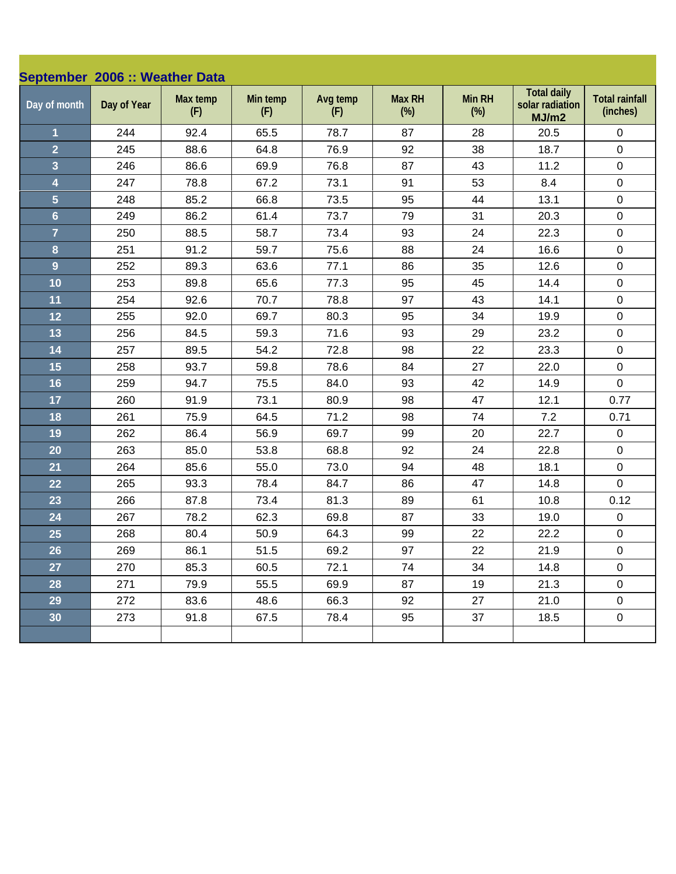| September 2006 :: Weather Data |             |                 |                 |                 |                         |                         |                                                |                                   |
|--------------------------------|-------------|-----------------|-----------------|-----------------|-------------------------|-------------------------|------------------------------------------------|-----------------------------------|
| Day of month                   | Day of Year | Max temp<br>(F) | Min temp<br>(F) | Avg temp<br>(F) | <b>Max RH</b><br>$(\%)$ | <b>Min RH</b><br>$(\%)$ | <b>Total daily</b><br>solar radiation<br>MJ/m2 | <b>Total rainfall</b><br>(inches) |
| $\mathbf{1}$                   | 244         | 92.4            | 65.5            | 78.7            | 87                      | 28                      | 20.5                                           | $\mathbf 0$                       |
| $\overline{2}$                 | 245         | 88.6            | 64.8            | 76.9            | 92                      | 38                      | 18.7                                           | $\pmb{0}$                         |
| $\overline{\mathbf{3}}$        | 246         | 86.6            | 69.9            | 76.8            | 87                      | 43                      | 11.2                                           | $\pmb{0}$                         |
| $\overline{\mathbf{4}}$        | 247         | 78.8            | 67.2            | 73.1            | 91                      | 53                      | 8.4                                            | $\pmb{0}$                         |
| $\overline{5}$                 | 248         | 85.2            | 66.8            | 73.5            | 95                      | 44                      | 13.1                                           | $\pmb{0}$                         |
| $6\phantom{a}$                 | 249         | 86.2            | 61.4            | 73.7            | 79                      | 31                      | 20.3                                           | $\pmb{0}$                         |
| $\overline{7}$                 | 250         | 88.5            | 58.7            | 73.4            | 93                      | 24                      | 22.3                                           | $\pmb{0}$                         |
| $\bf{8}$                       | 251         | 91.2            | 59.7            | 75.6            | 88                      | 24                      | 16.6                                           | $\pmb{0}$                         |
| $\overline{9}$                 | 252         | 89.3            | 63.6            | 77.1            | 86                      | 35                      | 12.6                                           | $\pmb{0}$                         |
| 10                             | 253         | 89.8            | 65.6            | 77.3            | 95                      | 45                      | 14.4                                           | $\pmb{0}$                         |
| 11                             | 254         | 92.6            | 70.7            | 78.8            | 97                      | 43                      | 14.1                                           | $\pmb{0}$                         |
| 12                             | 255         | 92.0            | 69.7            | 80.3            | 95                      | 34                      | 19.9                                           | $\pmb{0}$                         |
| 13                             | 256         | 84.5            | 59.3            | 71.6            | 93                      | 29                      | 23.2                                           | $\mathbf 0$                       |
| 14                             | 257         | 89.5            | 54.2            | 72.8            | 98                      | 22                      | 23.3                                           | $\pmb{0}$                         |
| 15                             | 258         | 93.7            | 59.8            | 78.6            | 84                      | 27                      | 22.0                                           | $\pmb{0}$                         |
| 16                             | 259         | 94.7            | 75.5            | 84.0            | 93                      | 42                      | 14.9                                           | $\mathbf 0$                       |
| 17                             | 260         | 91.9            | 73.1            | 80.9            | 98                      | 47                      | 12.1                                           | 0.77                              |
| 18                             | 261         | 75.9            | 64.5            | 71.2            | 98                      | 74                      | 7.2                                            | 0.71                              |
| 19                             | 262         | 86.4            | 56.9            | 69.7            | 99                      | 20                      | 22.7                                           | $\pmb{0}$                         |
| 20                             | 263         | 85.0            | 53.8            | 68.8            | 92                      | 24                      | 22.8                                           | $\mathbf 0$                       |
| 21                             | 264         | 85.6            | 55.0            | 73.0            | 94                      | 48                      | 18.1                                           | $\pmb{0}$                         |
| 22                             | 265         | 93.3            | 78.4            | 84.7            | 86                      | 47                      | 14.8                                           | $\mathbf 0$                       |
| 23                             | 266         | 87.8            | 73.4            | 81.3            | 89                      | 61                      | 10.8                                           | 0.12                              |
| 24                             | 267         | 78.2            | 62.3            | 69.8            | 87                      | 33                      | 19.0                                           | $\pmb{0}$                         |
| 25                             | 268         | 80.4            | 50.9            | 64.3            | 99                      | 22                      | 22.2                                           | $\pmb{0}$                         |
| 26                             | 269         | 86.1            | 51.5            | 69.2            | 97                      | 22                      | 21.9                                           | $\pmb{0}$                         |
| 27                             | 270         | 85.3            | 60.5            | 72.1            | 74                      | 34                      | 14.8                                           | $\mathbf 0$                       |
| 28                             | 271         | 79.9            | 55.5            | 69.9            | 87                      | 19                      | 21.3                                           | $\mathsf 0$                       |
| 29                             | 272         | 83.6            | 48.6            | 66.3            | 92                      | 27                      | 21.0                                           | $\mathsf 0$                       |
| 30                             | 273         | 91.8            | 67.5            | 78.4            | 95                      | 37                      | 18.5                                           | $\pmb{0}$                         |
|                                |             |                 |                 |                 |                         |                         |                                                |                                   |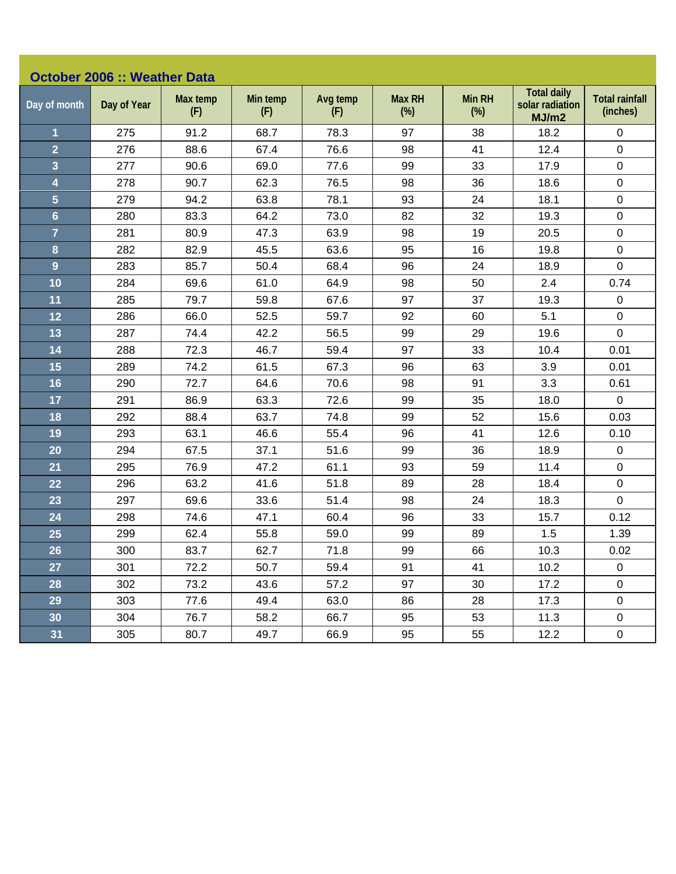|                         | <b>October 2006 :: Weather Data</b> |                 |                 |                 |                         |                         |                                                |                                   |  |  |
|-------------------------|-------------------------------------|-----------------|-----------------|-----------------|-------------------------|-------------------------|------------------------------------------------|-----------------------------------|--|--|
| Day of month            | Day of Year                         | Max temp<br>(F) | Min temp<br>(F) | Avg temp<br>(F) | <b>Max RH</b><br>$(\%)$ | <b>Min RH</b><br>$(\%)$ | <b>Total daily</b><br>solar radiation<br>MJ/m2 | <b>Total rainfall</b><br>(inches) |  |  |
| $\mathbf{1}$            | 275                                 | 91.2            | 68.7            | 78.3            | 97                      | 38                      | 18.2                                           | $\mathbf 0$                       |  |  |
| $\overline{2}$          | 276                                 | 88.6            | 67.4            | 76.6            | 98                      | 41                      | 12.4                                           | $\mathbf 0$                       |  |  |
| $\overline{\mathbf{3}}$ | 277                                 | 90.6            | 69.0            | 77.6            | 99                      | 33                      | 17.9                                           | $\pmb{0}$                         |  |  |
| $\overline{\mathbf{4}}$ | 278                                 | 90.7            | 62.3            | 76.5            | 98                      | 36                      | 18.6                                           | $\pmb{0}$                         |  |  |
| $\overline{5}$          | 279                                 | 94.2            | 63.8            | 78.1            | 93                      | 24                      | 18.1                                           | $\pmb{0}$                         |  |  |
| $6\phantom{a}$          | 280                                 | 83.3            | 64.2            | 73.0            | 82                      | 32                      | 19.3                                           | $\pmb{0}$                         |  |  |
| $\overline{7}$          | 281                                 | 80.9            | 47.3            | 63.9            | 98                      | 19                      | 20.5                                           | $\pmb{0}$                         |  |  |
| 8                       | 282                                 | 82.9            | 45.5            | 63.6            | 95                      | 16                      | 19.8                                           | $\pmb{0}$                         |  |  |
| $\overline{9}$          | 283                                 | 85.7            | 50.4            | 68.4            | 96                      | 24                      | 18.9                                           | $\mathbf 0$                       |  |  |
| 10                      | 284                                 | 69.6            | 61.0            | 64.9            | 98                      | 50                      | 2.4                                            | 0.74                              |  |  |
| 11                      | 285                                 | 79.7            | 59.8            | 67.6            | 97                      | 37                      | 19.3                                           | $\pmb{0}$                         |  |  |
| 12                      | 286                                 | 66.0            | 52.5            | 59.7            | 92                      | 60                      | 5.1                                            | $\pmb{0}$                         |  |  |
| 13                      | 287                                 | 74.4            | 42.2            | 56.5            | 99                      | 29                      | 19.6                                           | $\mathbf 0$                       |  |  |
| 14                      | 288                                 | 72.3            | 46.7            | 59.4            | 97                      | 33                      | 10.4                                           | 0.01                              |  |  |
| 15                      | 289                                 | 74.2            | 61.5            | 67.3            | 96                      | 63                      | 3.9                                            | 0.01                              |  |  |
| 16                      | 290                                 | 72.7            | 64.6            | 70.6            | 98                      | 91                      | 3.3                                            | 0.61                              |  |  |
| 17                      | 291                                 | 86.9            | 63.3            | 72.6            | 99                      | 35                      | 18.0                                           | $\mathbf 0$                       |  |  |
| 18                      | 292                                 | 88.4            | 63.7            | 74.8            | 99                      | 52                      | 15.6                                           | 0.03                              |  |  |
| 19                      | 293                                 | 63.1            | 46.6            | 55.4            | 96                      | 41                      | 12.6                                           | 0.10                              |  |  |
| 20                      | 294                                 | 67.5            | 37.1            | 51.6            | 99                      | 36                      | 18.9                                           | $\pmb{0}$                         |  |  |
| 21                      | 295                                 | 76.9            | 47.2            | 61.1            | 93                      | 59                      | 11.4                                           | $\mathbf 0$                       |  |  |
| 22                      | 296                                 | 63.2            | 41.6            | 51.8            | 89                      | 28                      | 18.4                                           | $\pmb{0}$                         |  |  |
| 23                      | 297                                 | 69.6            | 33.6            | 51.4            | 98                      | 24                      | 18.3                                           | $\mathbf 0$                       |  |  |
| 24                      | 298                                 | 74.6            | 47.1            | 60.4            | 96                      | 33                      | 15.7                                           | 0.12                              |  |  |
| 25                      | 299                                 | 62.4            | 55.8            | 59.0            | 99                      | 89                      | 1.5                                            | 1.39                              |  |  |
| 26                      | 300                                 | 83.7            | 62.7            | 71.8            | 99                      | 66                      | 10.3                                           | 0.02                              |  |  |
| 27                      | 301                                 | 72.2            | 50.7            | 59.4            | 91                      | 41                      | 10.2                                           | $\mathbf 0$                       |  |  |
| 28                      | 302                                 | 73.2            | 43.6            | 57.2            | 97                      | 30                      | 17.2                                           | $\pmb{0}$                         |  |  |
| 29                      | 303                                 | 77.6            | 49.4            | 63.0            | 86                      | 28                      | 17.3                                           | $\pmb{0}$                         |  |  |
| 30                      | 304                                 | 76.7            | 58.2            | 66.7            | 95                      | 53                      | 11.3                                           | $\mathsf 0$                       |  |  |
| 31                      | 305                                 | 80.7            | 49.7            | 66.9            | 95                      | 55                      | 12.2                                           | $\pmb{0}$                         |  |  |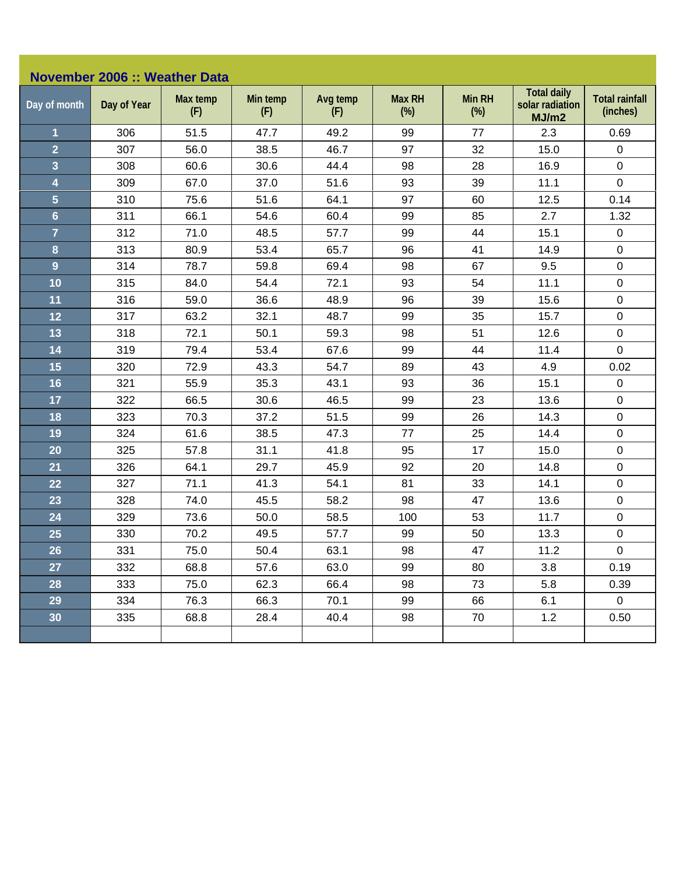| <b>November 2006 :: Weather Data</b> |             |                 |                 |                 |                         |                         |                                                |                                   |  |
|--------------------------------------|-------------|-----------------|-----------------|-----------------|-------------------------|-------------------------|------------------------------------------------|-----------------------------------|--|
| Day of month                         | Day of Year | Max temp<br>(F) | Min temp<br>(F) | Avg temp<br>(F) | <b>Max RH</b><br>$(\%)$ | <b>Min RH</b><br>$(\%)$ | <b>Total daily</b><br>solar radiation<br>MJ/m2 | <b>Total rainfall</b><br>(inches) |  |
| $\mathbf{1}$                         | 306         | 51.5            | 47.7            | 49.2            | 99                      | 77                      | 2.3                                            | 0.69                              |  |
| $\overline{2}$                       | 307         | 56.0            | 38.5            | 46.7            | 97                      | 32                      | 15.0                                           | $\pmb{0}$                         |  |
| $\overline{\mathbf{3}}$              | 308         | 60.6            | 30.6            | 44.4            | 98                      | 28                      | 16.9                                           | $\mathbf 0$                       |  |
| 4                                    | 309         | 67.0            | 37.0            | 51.6            | 93                      | 39                      | 11.1                                           | $\mathbf 0$                       |  |
| $\overline{5}$                       | 310         | 75.6            | 51.6            | 64.1            | 97                      | 60                      | 12.5                                           | 0.14                              |  |
| $6\phantom{a}$                       | 311         | 66.1            | 54.6            | 60.4            | 99                      | 85                      | 2.7                                            | 1.32                              |  |
| $\overline{7}$                       | 312         | 71.0            | 48.5            | 57.7            | 99                      | 44                      | 15.1                                           | $\pmb{0}$                         |  |
| 8                                    | 313         | 80.9            | 53.4            | 65.7            | 96                      | 41                      | 14.9                                           | $\mathbf 0$                       |  |
| $\overline{9}$                       | 314         | 78.7            | 59.8            | 69.4            | 98                      | 67                      | 9.5                                            | $\pmb{0}$                         |  |
| 10                                   | 315         | 84.0            | 54.4            | 72.1            | 93                      | 54                      | 11.1                                           | $\pmb{0}$                         |  |
| 11                                   | 316         | 59.0            | 36.6            | 48.9            | 96                      | 39                      | 15.6                                           | $\pmb{0}$                         |  |
| 12                                   | 317         | 63.2            | 32.1            | 48.7            | 99                      | 35                      | 15.7                                           | $\pmb{0}$                         |  |
| 13                                   | 318         | 72.1            | 50.1            | 59.3            | 98                      | 51                      | 12.6                                           | $\pmb{0}$                         |  |
| 14                                   | 319         | 79.4            | 53.4            | 67.6            | 99                      | 44                      | 11.4                                           | $\mathbf 0$                       |  |
| 15                                   | 320         | 72.9            | 43.3            | 54.7            | 89                      | 43                      | 4.9                                            | 0.02                              |  |
| 16                                   | 321         | 55.9            | 35.3            | 43.1            | 93                      | 36                      | 15.1                                           | $\pmb{0}$                         |  |
| 17                                   | 322         | 66.5            | 30.6            | 46.5            | 99                      | 23                      | 13.6                                           | $\pmb{0}$                         |  |
| 18                                   | 323         | 70.3            | 37.2            | 51.5            | 99                      | 26                      | 14.3                                           | $\pmb{0}$                         |  |
| 19                                   | 324         | 61.6            | 38.5            | 47.3            | 77                      | 25                      | 14.4                                           | $\pmb{0}$                         |  |
| 20                                   | 325         | 57.8            | 31.1            | 41.8            | 95                      | 17                      | 15.0                                           | $\pmb{0}$                         |  |
| 21                                   | 326         | 64.1            | 29.7            | 45.9            | 92                      | 20                      | 14.8                                           | $\pmb{0}$                         |  |
| 22                                   | 327         | 71.1            | 41.3            | 54.1            | 81                      | 33                      | 14.1                                           | $\pmb{0}$                         |  |
| 23                                   | 328         | 74.0            | 45.5            | 58.2            | 98                      | 47                      | 13.6                                           | $\pmb{0}$                         |  |
| 24                                   | 329         | 73.6            | 50.0            | 58.5            | 100                     | 53                      | 11.7                                           | $\pmb{0}$                         |  |
| 25                                   | 330         | 70.2            | 49.5            | 57.7            | 99                      | 50                      | 13.3                                           | $\pmb{0}$                         |  |
| 26                                   | 331         | 75.0            | 50.4            | 63.1            | 98                      | 47                      | 11.2                                           | $\pmb{0}$                         |  |
| 27                                   | 332         | 68.8            | 57.6            | 63.0            | 99                      | 80                      | 3.8                                            | 0.19                              |  |
| 28                                   | 333         | 75.0            | 62.3            | 66.4            | 98                      | 73                      | 5.8                                            | 0.39                              |  |
| 29                                   | 334         | 76.3            | 66.3            | 70.1            | 99                      | 66                      | 6.1                                            | $\pmb{0}$                         |  |
| 30                                   | 335         | 68.8            | 28.4            | 40.4            | 98                      | 70                      | 1.2                                            | 0.50                              |  |
|                                      |             |                 |                 |                 |                         |                         |                                                |                                   |  |